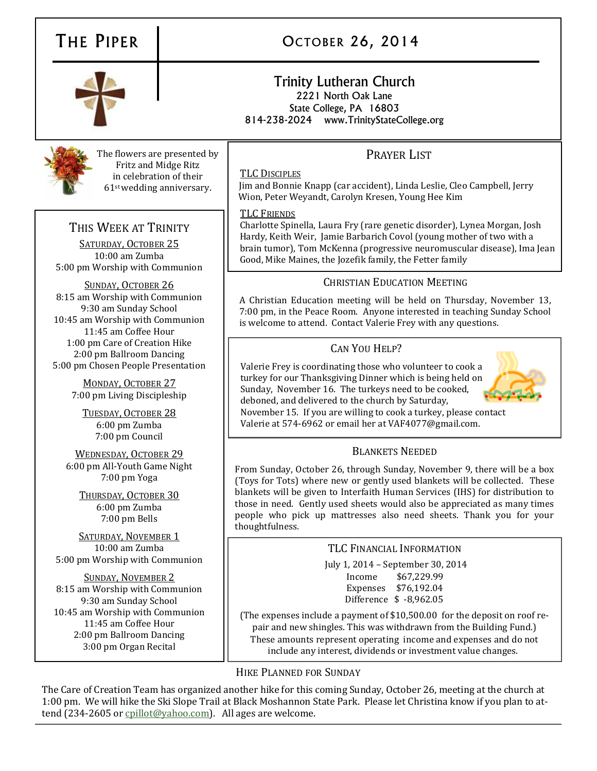# THE PIPER

# OCTOBER 26, 2014

## Trinity Lutheran Church 2221 North Oak Lane State College, PA 16803 814-238-2024 www.TrinityStateCollege.org

## PRAYER LIST

## TLC DISCIPLES

Jim and Bonnie Knapp (car accident), Linda Leslie, Cleo Campbell, Jerry Wion, Peter Weyandt, Carolyn Kresen, Young Hee Kim

## TLC FRIENDS

Charlotte Spinella, Laura Fry (rare genetic disorder), Lynea Morgan, Josh Hardy, Keith Weir, Jamie Barbarich Covol (young mother of two with a brain tumor), Tom McKenna (progressive neuromuscular disease), Ima Jean Good, Mike Maines, the Jozefik family, the Fetter family

## CHRISTIAN EDUCATION MEETING

A Christian Education meeting will be held on Thursday, November 13, 7:00 pm, in the Peace Room. Anyone interested in teaching Sunday School is welcome to attend. Contact Valerie Frey with any questions.

## CAN YOU HELP?

Valerie Frey is coordinating those who volunteer to cook a turkey for our Thanksgiving Dinner which is being held on Sunday, November 16. The turkeys need to be cooked, deboned, and delivered to the church by Saturday, November 15. If you are willing to cook a turkey, please contact Valerie at 574-6962 or email her at VAF4077@gmail.com.

## BLANKETS NEEDED

From Sunday, October 26, through Sunday, November 9, there will be a box (Toys for Tots) where new or gently used blankets will be collected. These blankets will be given to Interfaith Human Services (IHS) for distribution to those in need. Gently used sheets would also be appreciated as many times people who pick up mattresses also need sheets. Thank you for your thoughtfulness.

## TLC FINANCIAL INFORMATION

July 1, 2014 – September 30, 2014 Income \$67,229.99 Expenses \$76,192.04 Difference \$ -8,962.05

(The expenses include a payment of \$10,500.00 for the deposit on roof repair and new shingles. This was withdrawn from the Building Fund.) These amounts represent operating income and expenses and do not include any interest, dividends or investment value changes.

## HIKE PLANNED FOR SUNDAY

The Care of Creation Team has organized another hike for this coming Sunday, October 26, meeting at the church at 1:00 pm. We will hike the Ski Slope Trail at Black Moshannon State Park. Please let Christina know if you plan to attend (234-2605 or [cpillot@yahoo.com\).](mailto:cpillot@yahoo.com) All ages are welcome.



The flowers are presented by Fritz and Midge Ritz in celebration of their 61st wedding anniversary.

## THIS WEEK AT TRINITY

SATURDAY, OCTOBER 25 10:00 am Zumba 5:00 pm Worship with Communion

SUNDAY, OCTOBER 26 8:15 am Worship with Communion 9:30 am Sunday School 10:45 am Worship with Communion 11:45 am Coffee Hour 1:00 pm Care of Creation Hike 2:00 pm Ballroom Dancing 5:00 pm Chosen People Presentation

> MONDAY, OCTOBER 27 7:00 pm Living Discipleship

TUESDAY, OCTOBER 28 6:00 pm Zumba 7:00 pm Council

WEDNESDAY, OCTOBER 29 6:00 pm All-Youth Game Night 7:00 pm Yoga

> THURSDAY, OCTOBER 30 6:00 pm Zumba 7:00 pm Bells

SATURDAY, NOVEMBER 1 10:00 am Zumba 5:00 pm Worship with Communion

SUNDAY, NOVEMBER 2 8:15 am Worship with Communion 9:30 am Sunday School 10:45 am Worship with Communion 11:45 am Coffee Hour 2:00 pm Ballroom Dancing 3:00 pm Organ Recital

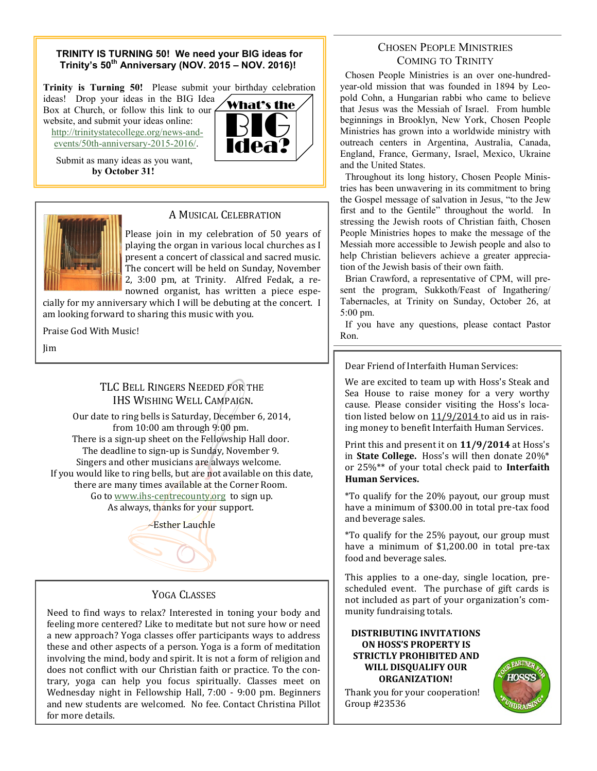#### **TRINITY IS TURNING 50! We need your BIG ideas for Trinity's 50th Anniversary (NOV. 2015 – NOV. 2016)!**

**Trinity is Turning 50!** Please submit your birthday celebration

ideas! Drop your ideas in the BIG Idea Box at Church, or follow this link to our website, and submit your ideas online: [http://trinitystatecollege.org/news-and](http://trinitystatecollege.org/news-and-events/50th-anniversary-2015-2016/)[events/50th-anniversary-2015-2016/.](http://trinitystatecollege.org/news-and-events/50th-anniversary-2015-2016/)



Submit as many ideas as you want, **by October 31!**



#### A MUSICAL CELEBRATION

Please join in my celebration of 50 years of playing the organ in various local churches as I present a concert of classical and sacred music. The concert will be held on Sunday, November 2, 3:00 pm, at Trinity. Alfred Fedak, a renowned organist, has written a piece espe-

cially for my anniversary which I will be debuting at the concert. I am looking forward to sharing this music with you.

Praise God With Music!

Jim

## TLC BELL RINGERS NEEDED FOR THE IHS WISHING WELL CAMPAIGN.

Our date to ring bells is Saturday, December 6, 2014, from  $10:00$  am through  $9:00$  pm. There is a sign-up sheet on the Fellowship Hall door. The deadline to sign-up is Sunday, November 9. Singers and other musicians are always welcome. If you would like to ring bells, but are not available on this date, there are many times available at the Corner Room. Go to [www.ihs-centrecounty.org](http://www.ihs-centrecounty.org) to sign up. As always, thanks for your support.

~Esther Lauchle

## YOGA CLASSES

Need to find ways to relax? Interested in toning your body and feeling more centered? Like to meditate but not sure how or need a new approach? Yoga classes offer participants ways to address these and other aspects of a person. Yoga is a form of meditation involving the mind, body and spirit. It is not a form of religion and does not conflict with our Christian faith or practice. To the contrary, yoga can help you focus spiritually. Classes meet on Wednesday night in Fellowship Hall, 7:00 - 9:00 pm. Beginners and new students are welcomed. No fee. Contact Christina Pillot for more details.

## CHOSEN PEOPLE MINISTRIES COMING TO TRINITY

Chosen People Ministries is an over one-hundredyear-old mission that was founded in 1894 by Leopold Cohn, a Hungarian rabbi who came to believe that Jesus was the Messiah of Israel. From humble beginnings in Brooklyn, New York, Chosen People Ministries has grown into a worldwide ministry with outreach centers in Argentina, Australia, Canada, England, France, Germany, Israel, Mexico, Ukraine and the United States.

Throughout its long history, Chosen People Ministries has been unwavering in its commitment to bring the Gospel message of salvation in Jesus, "to the Jew first and to the Gentile" throughout the world. In stressing the Jewish roots of Christian faith, Chosen People Ministries hopes to make the message of the Messiah more accessible to Jewish people and also to help Christian believers achieve a greater appreciation of the Jewish basis of their own faith.

Brian Crawford, a representative of CPM, will present the program, Sukkoth/Feast of Ingathering/ Tabernacles, at Trinity on Sunday, October 26, at 5:00 pm.

If you have any questions, please contact Pastor Ron.

Dear Friend of Interfaith Human Services:

We are excited to team up with Hoss's Steak and Sea House to raise money for a very worthy cause. Please consider visiting the Hoss's location listed below on 11/9/2014 to aid us in raising money to benefit Interfaith Human Services.

Print this and present it on **11/9/2014** at Hoss's in **State College.** Hoss's will then donate 20%\* or 25%\*\* of your total check paid to **Interfaith Human Services.**

\*To qualify for the 20% payout, our group must have a minimum of \$300.00 in total pre-tax food and beverage sales.

\*To qualify for the 25% payout, our group must have a minimum of \$1,200.00 in total pre-tax food and beverage sales.

This applies to a one-day, single location, prescheduled event. The purchase of gift cards is not included as part of your organization's community fundraising totals.

#### **DISTRIBUTING INVITATIONS ON HOSS'S PROPERTY IS STRICTLY PROHIBITED AND WILL DISQUALIFY OUR ORGANIZATION!**

Thank you for your cooperation! Group #23536